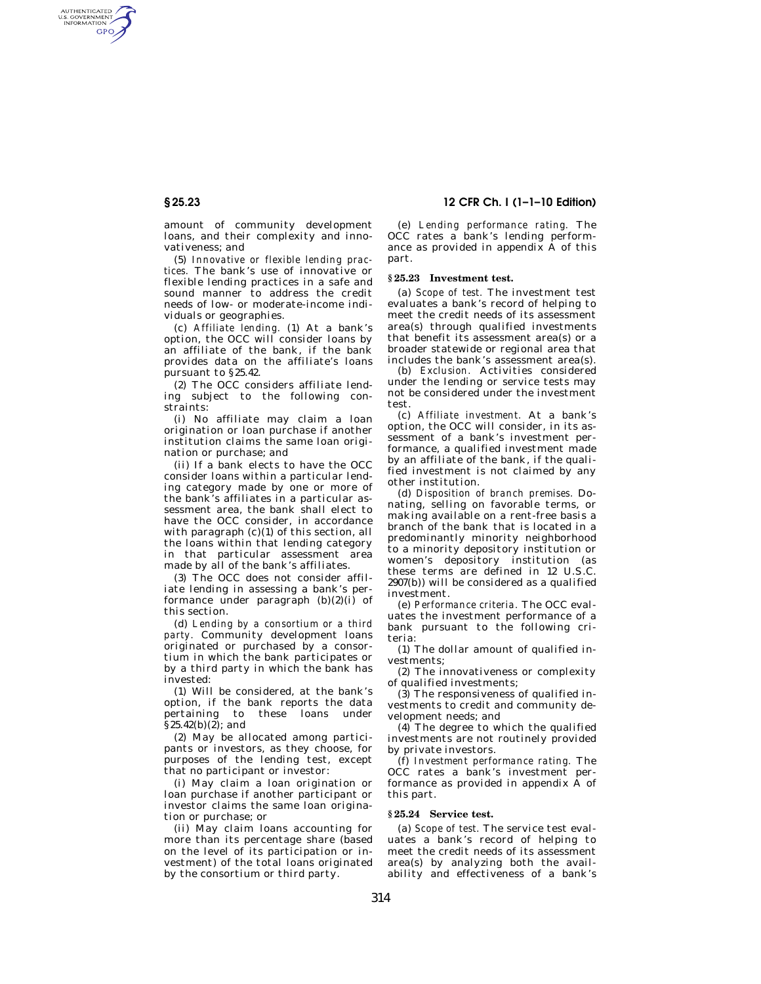AUTHENTICATED<br>U.S. GOVERNMENT<br>INFORMATION GPO

> amount of community development loans, and their complexity and innovativeness; and

> (5) *Innovative or flexible lending practices.* The bank's use of innovative or flexible lending practices in a safe and sound manner to address the credit needs of low- or moderate-income individuals or geographies.

> (c) *Affiliate lending.* (1) At a bank's option, the OCC will consider loans by an affiliate of the bank, if the bank provides data on the affiliate's loans pursuant to §25.42.

> (2) The OCC considers affiliate lending subject to the following constraints:

> (i) No affiliate may claim a loan origination or loan purchase if another institution claims the same loan origination or purchase; and

> (ii) If a bank elects to have the OCC consider loans within a particular lending category made by one or more of the bank's affiliates in a particular assessment area, the bank shall elect to have the OCC consider, in accordance with paragraph (c)(1) of this section, all the loans within that lending category in that particular assessment area made by all of the bank's affiliates.

(3) The OCC does not consider affiliate lending in assessing a bank's performance under paragraph  $(b)(2)(i)$  of this section.

(d) *Lending by a consortium or a third party.* Community development loans originated or purchased by a consortium in which the bank participates or by a third party in which the bank has invested:

(1) Will be considered, at the bank's option, if the bank reports the data pertaining to these loans under  $\bar{\S}$ 25.42(b)(2); and

(2) May be allocated among participants or investors, as they choose, for purposes of the lending test, except that no participant or investor:

(i) May claim a loan origination or loan purchase if another participant or investor claims the same loan origination or purchase; or

(ii) May claim loans accounting for more than its percentage share (based on the level of its participation or investment) of the total loans originated by the consortium or third party.

# **§ 25.23 12 CFR Ch. I (1–1–10 Edition)**

(e) *Lending performance rating.* The OCC rates a bank's lending performance as provided in appendix A of this part.

## **§ 25.23 Investment test.**

(a) *Scope of test.* The investment test evaluates a bank's record of helping to meet the credit needs of its assessment area(s) through qualified investments that benefit its assessment area(s) or a broader statewide or regional area that includes the bank's assessment area(s).

(b) *Exclusion.* Activities considered under the lending or service tests may not be considered under the investment test.

(c) *Affiliate investment.* At a bank's option, the OCC will consider, in its assessment of a bank's investment performance, a qualified investment made by an affiliate of the bank, if the qualified investment is not claimed by any other institution.

(d) *Disposition of branch premises.* Donating, selling on favorable terms, or making available on a rent-free basis a branch of the bank that is located in a predominantly minority neighborhood to a minority depository institution or women's depository institution (as these terms are defined in 12 U.S.C. 2907(b)) will be considered as a qualified investment.

(e) *Performance criteria.* The OCC evaluates the investment performance of a bank pursuant to the following criteria:

(1) The dollar amount of qualified investments;

(2) The innovativeness or complexity of qualified investments;

(3) The responsiveness of qualified investments to credit and community development needs; and

(4) The degree to which the qualified investments are not routinely provided by private investors.

(f) *Investment performance rating.* The OCC rates a bank's investment performance as provided in appendix  $\overline{A}$  of this part.

### **§ 25.24 Service test.**

(a) *Scope of test.* The service test evaluates a bank's record of helping to meet the credit needs of its assessment area(s) by analyzing both the availability and effectiveness of a bank's